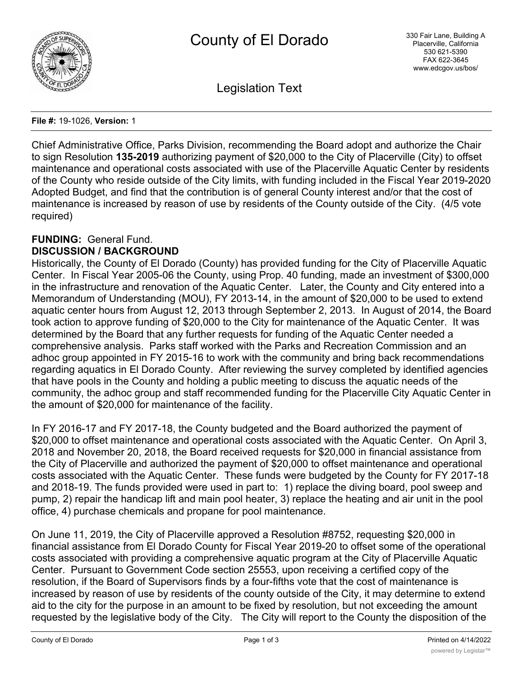

Legislation Text

#### **File #:** 19-1026, **Version:** 1

Chief Administrative Office, Parks Division, recommending the Board adopt and authorize the Chair to sign Resolution **135-2019** authorizing payment of \$20,000 to the City of Placerville (City) to offset maintenance and operational costs associated with use of the Placerville Aquatic Center by residents of the County who reside outside of the City limits, with funding included in the Fiscal Year 2019-2020 Adopted Budget, and find that the contribution is of general County interest and/or that the cost of maintenance is increased by reason of use by residents of the County outside of the City. (4/5 vote required)

# **FUNDING:** General Fund.

# **DISCUSSION / BACKGROUND**

Historically, the County of El Dorado (County) has provided funding for the City of Placerville Aquatic Center. In Fiscal Year 2005-06 the County, using Prop. 40 funding, made an investment of \$300,000 in the infrastructure and renovation of the Aquatic Center. Later, the County and City entered into a Memorandum of Understanding (MOU), FY 2013-14, in the amount of \$20,000 to be used to extend aquatic center hours from August 12, 2013 through September 2, 2013. In August of 2014, the Board took action to approve funding of \$20,000 to the City for maintenance of the Aquatic Center. It was determined by the Board that any further requests for funding of the Aquatic Center needed a comprehensive analysis. Parks staff worked with the Parks and Recreation Commission and an adhoc group appointed in FY 2015-16 to work with the community and bring back recommendations regarding aquatics in El Dorado County. After reviewing the survey completed by identified agencies that have pools in the County and holding a public meeting to discuss the aquatic needs of the community, the adhoc group and staff recommended funding for the Placerville City Aquatic Center in the amount of \$20,000 for maintenance of the facility.

In FY 2016-17 and FY 2017-18, the County budgeted and the Board authorized the payment of \$20,000 to offset maintenance and operational costs associated with the Aquatic Center. On April 3, 2018 and November 20, 2018, the Board received requests for \$20,000 in financial assistance from the City of Placerville and authorized the payment of \$20,000 to offset maintenance and operational costs associated with the Aquatic Center. These funds were budgeted by the County for FY 2017-18 and 2018-19. The funds provided were used in part to: 1) replace the diving board, pool sweep and pump, 2) repair the handicap lift and main pool heater, 3) replace the heating and air unit in the pool office, 4) purchase chemicals and propane for pool maintenance.

On June 11, 2019, the City of Placerville approved a Resolution #8752, requesting \$20,000 in financial assistance from El Dorado County for Fiscal Year 2019-20 to offset some of the operational costs associated with providing a comprehensive aquatic program at the City of Placerville Aquatic Center. Pursuant to Government Code section 25553, upon receiving a certified copy of the resolution, if the Board of Supervisors finds by a four-fifths vote that the cost of maintenance is increased by reason of use by residents of the county outside of the City, it may determine to extend aid to the city for the purpose in an amount to be fixed by resolution, but not exceeding the amount requested by the legislative body of the City. The City will report to the County the disposition of the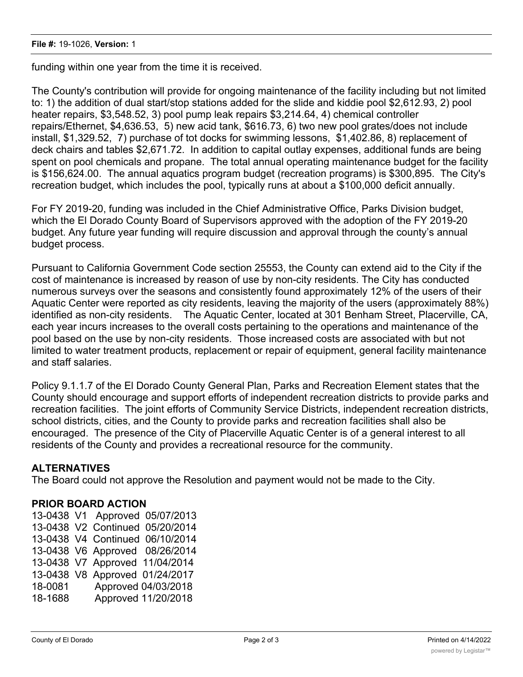funding within one year from the time it is received.

The County's contribution will provide for ongoing maintenance of the facility including but not limited to: 1) the addition of dual start/stop stations added for the slide and kiddie pool \$2,612.93, 2) pool heater repairs, \$3,548.52, 3) pool pump leak repairs \$3,214.64, 4) chemical controller repairs/Ethernet, \$4,636.53, 5) new acid tank, \$616.73, 6) two new pool grates/does not include install, \$1,329.52, 7) purchase of tot docks for swimming lessons, \$1,402.86, 8) replacement of deck chairs and tables \$2,671.72. In addition to capital outlay expenses, additional funds are being spent on pool chemicals and propane. The total annual operating maintenance budget for the facility is \$156,624.00. The annual aquatics program budget (recreation programs) is \$300,895. The City's recreation budget, which includes the pool, typically runs at about a \$100,000 deficit annually.

For FY 2019-20, funding was included in the Chief Administrative Office, Parks Division budget, which the El Dorado County Board of Supervisors approved with the adoption of the FY 2019-20 budget. Any future year funding will require discussion and approval through the county's annual budget process.

Pursuant to California Government Code section 25553, the County can extend aid to the City if the cost of maintenance is increased by reason of use by non-city residents. The City has conducted numerous surveys over the seasons and consistently found approximately 12% of the users of their Aquatic Center were reported as city residents, leaving the majority of the users (approximately 88%) identified as non-city residents. The Aquatic Center, located at 301 Benham Street, Placerville, CA, each year incurs increases to the overall costs pertaining to the operations and maintenance of the pool based on the use by non-city residents. Those increased costs are associated with but not limited to water treatment products, replacement or repair of equipment, general facility maintenance and staff salaries.

Policy 9.1.1.7 of the El Dorado County General Plan, Parks and Recreation Element states that the County should encourage and support efforts of independent recreation districts to provide parks and recreation facilities. The joint efforts of Community Service Districts, independent recreation districts, school districts, cities, and the County to provide parks and recreation facilities shall also be encouraged. The presence of the City of Placerville Aquatic Center is of a general interest to all residents of the County and provides a recreational resource for the community.

## **ALTERNATIVES**

The Board could not approve the Resolution and payment would not be made to the City.

## **PRIOR BOARD ACTION**

13-0438 V1 Approved 05/07/2013 13-0438 V2 Continued 05/20/2014 13-0438 V4 Continued 06/10/2014 13-0438 V6 Approved 08/26/2014 13-0438 V7 Approved 11/04/2014 13-0438 V8 Approved 01/24/2017 18-0081 Approved 04/03/2018 18-1688 Approved 11/20/2018